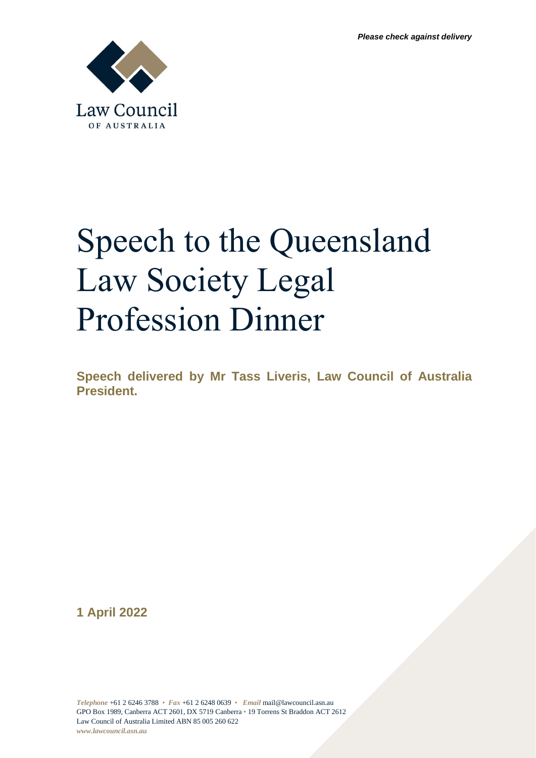

## Speech to the Queensland Law Society Legal Profession Dinner

**Speech delivered by Mr Tass Liveris, Law Council of Australia President.**

**1 April 2022**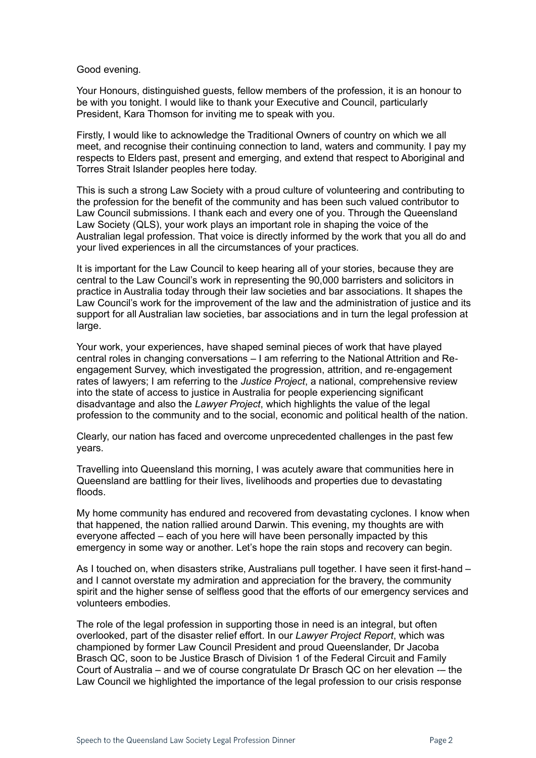Good evening.

Your Honours, distinguished guests, fellow members of the profession, it is an honour to be with you tonight. I would like to thank your Executive and Council, particularly President, Kara Thomson for inviting me to speak with you.

Firstly, I would like to acknowledge the Traditional Owners of country on which we all meet, and recognise their continuing connection to land, waters and community. I pay my respects to Elders past, present and emerging, and extend that respect to Aboriginal and Torres Strait Islander peoples here today.

This is such a strong Law Society with a proud culture of volunteering and contributing to the profession for the benefit of the community and has been such valued contributor to Law Council submissions. I thank each and every one of you. Through the Queensland Law Society (QLS), your work plays an important role in shaping the voice of the Australian legal profession. That voice is directly informed by the work that you all do and your lived experiences in all the circumstances of your practices.

It is important for the Law Council to keep hearing all of your stories, because they are central to the Law Council's work in representing the 90,000 barristers and solicitors in practice in Australia today through their law societies and bar associations. It shapes the Law Council's work for the improvement of the law and the administration of justice and its support for all Australian law societies, bar associations and in turn the legal profession at large.

Your work, your experiences, have shaped seminal pieces of work that have played central roles in changing conversations – I am referring to the National Attrition and Reengagement Survey, which investigated the progression, attrition, and re-engagement rates of lawyers; I am referring to the *Justice Project*, a national, comprehensive review into the state of access to justice in Australia for people experiencing significant disadvantage and also the *Lawyer Project*, which highlights the value of the legal profession to the community and to the social, economic and political health of the nation.

Clearly, our nation has faced and overcome unprecedented challenges in the past few years.

Travelling into Queensland this morning, I was acutely aware that communities here in Queensland are battling for their lives, livelihoods and properties due to devastating floods.

My home community has endured and recovered from devastating cyclones. I know when that happened, the nation rallied around Darwin. This evening, my thoughts are with everyone affected – each of you here will have been personally impacted by this emergency in some way or another. Let's hope the rain stops and recovery can begin.

As I touched on, when disasters strike, Australians pull together. I have seen it first-hand – and I cannot overstate my admiration and appreciation for the bravery, the community spirit and the higher sense of selfless good that the efforts of our emergency services and volunteers embodies.

The role of the legal profession in supporting those in need is an integral, but often overlooked, part of the disaster relief effort. In our *Lawyer Project Report*, which was championed by former Law Council President and proud Queenslander, Dr Jacoba Brasch QC, soon to be Justice Brasch of Division 1 of the Federal Circuit and Family Court of Australia – and we of course congratulate Dr Brasch QC on her elevation -– the Law Council we highlighted the importance of the legal profession to our crisis response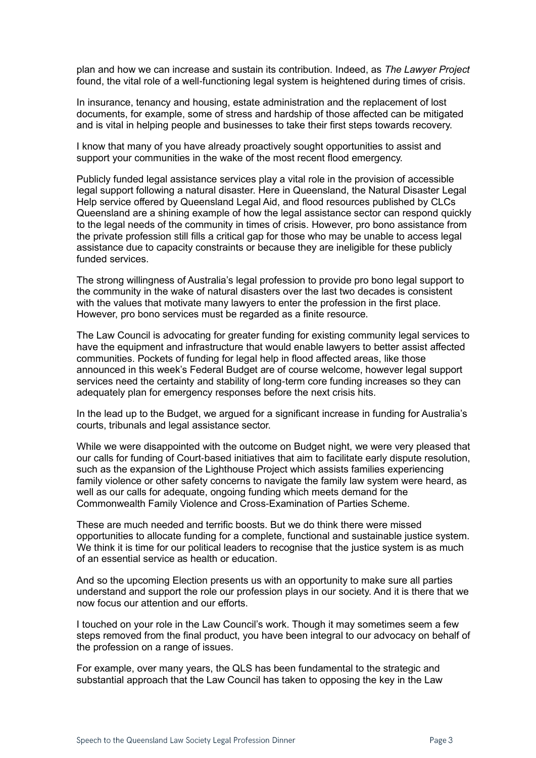plan and how we can increase and sustain its contribution. Indeed, as *The Lawyer Project*  found, the vital role of a well-functioning legal system is heightened during times of crisis.

In insurance, tenancy and housing, estate administration and the replacement of lost documents, for example, some of stress and hardship of those affected can be mitigated and is vital in helping people and businesses to take their first steps towards recovery.

I know that many of you have already proactively sought opportunities to assist and support your communities in the wake of the most recent flood emergency.

Publicly funded legal assistance services play a vital role in the provision of accessible legal support following a natural disaster. Here in Queensland, the Natural Disaster Legal Help service offered by Queensland Legal Aid, and flood resources published by CLCs Queensland are a shining example of how the legal assistance sector can respond quickly to the legal needs of the community in times of crisis. However, pro bono assistance from the private profession still fills a critical gap for those who may be unable to access legal assistance due to capacity constraints or because they are ineligible for these publicly funded services.

The strong willingness of Australia's legal profession to provide pro bono legal support to the community in the wake of natural disasters over the last two decades is consistent with the values that motivate many lawyers to enter the profession in the first place. However, pro bono services must be regarded as a finite resource.

The Law Council is advocating for greater funding for existing community legal services to have the equipment and infrastructure that would enable lawyers to better assist affected communities. Pockets of funding for legal help in flood affected areas, like those announced in this week's Federal Budget are of course welcome, however legal support services need the certainty and stability of long-term core funding increases so they can adequately plan for emergency responses before the next crisis hits.

In the lead up to the Budget, we argued for a significant increase in funding for Australia's courts, tribunals and legal assistance sector.

While we were disappointed with the outcome on Budget night, we were very pleased that our calls for funding of Court-based initiatives that aim to facilitate early dispute resolution, such as the expansion of the Lighthouse Project which assists families experiencing family violence or other safety concerns to navigate the family law system were heard, as well as our calls for adequate, ongoing funding which meets demand for the Commonwealth Family Violence and Cross-Examination of Parties Scheme.

These are much needed and terrific boosts. But we do think there were missed opportunities to allocate funding for a complete, functional and sustainable justice system. We think it is time for our political leaders to recognise that the justice system is as much of an essential service as health or education.

And so the upcoming Election presents us with an opportunity to make sure all parties understand and support the role our profession plays in our society. And it is there that we now focus our attention and our efforts.

I touched on your role in the Law Council's work. Though it may sometimes seem a few steps removed from the final product, you have been integral to our advocacy on behalf of the profession on a range of issues.

For example, over many years, the QLS has been fundamental to the strategic and substantial approach that the Law Council has taken to opposing the key in the Law